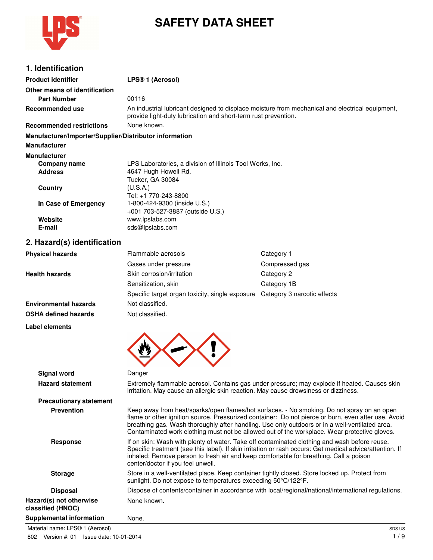

# **SAFETY DATA SHEET**

| 1. Identification |  |
|-------------------|--|
|                   |  |

| <b>Product identifier</b>                              | LPS® 1 (Aerosol)                                                                                                                                                                                                                                                                                                                                                                                    |                                                                                                     |
|--------------------------------------------------------|-----------------------------------------------------------------------------------------------------------------------------------------------------------------------------------------------------------------------------------------------------------------------------------------------------------------------------------------------------------------------------------------------------|-----------------------------------------------------------------------------------------------------|
| Other means of identification                          |                                                                                                                                                                                                                                                                                                                                                                                                     |                                                                                                     |
| <b>Part Number</b>                                     | 00116                                                                                                                                                                                                                                                                                                                                                                                               |                                                                                                     |
| <b>Recommended use</b>                                 | An industrial lubricant designed to displace moisture from mechanical and electrical equipment,<br>provide light-duty lubrication and short-term rust prevention.                                                                                                                                                                                                                                   |                                                                                                     |
| <b>Recommended restrictions</b>                        | None known.                                                                                                                                                                                                                                                                                                                                                                                         |                                                                                                     |
| Manufacturer/Importer/Supplier/Distributor information |                                                                                                                                                                                                                                                                                                                                                                                                     |                                                                                                     |
| <b>Manufacturer</b>                                    |                                                                                                                                                                                                                                                                                                                                                                                                     |                                                                                                     |
| <b>Manufacturer</b>                                    |                                                                                                                                                                                                                                                                                                                                                                                                     |                                                                                                     |
| <b>Company name</b>                                    | LPS Laboratories, a division of Illinois Tool Works, Inc.                                                                                                                                                                                                                                                                                                                                           |                                                                                                     |
| <b>Address</b>                                         | 4647 Hugh Howell Rd.<br>Tucker, GA 30084                                                                                                                                                                                                                                                                                                                                                            |                                                                                                     |
| <b>Country</b>                                         | (U.S.A.)<br>Tel: +1 770-243-8800                                                                                                                                                                                                                                                                                                                                                                    |                                                                                                     |
| In Case of Emergency                                   | 1-800-424-9300 (inside U.S.)<br>+001 703-527-3887 (outside U.S.)                                                                                                                                                                                                                                                                                                                                    |                                                                                                     |
| Website<br>E-mail                                      | www.lpslabs.com<br>sds@lpslabs.com                                                                                                                                                                                                                                                                                                                                                                  |                                                                                                     |
| 2. Hazard(s) identification                            |                                                                                                                                                                                                                                                                                                                                                                                                     |                                                                                                     |
| <b>Physical hazards</b>                                | Flammable aerosols                                                                                                                                                                                                                                                                                                                                                                                  | Category 1                                                                                          |
|                                                        | Gases under pressure                                                                                                                                                                                                                                                                                                                                                                                | Compressed gas                                                                                      |
| <b>Health hazards</b>                                  | Skin corrosion/irritation                                                                                                                                                                                                                                                                                                                                                                           | Category 2                                                                                          |
|                                                        | Sensitization, skin                                                                                                                                                                                                                                                                                                                                                                                 | Category 1B                                                                                         |
|                                                        | Specific target organ toxicity, single exposure                                                                                                                                                                                                                                                                                                                                                     | Category 3 narcotic effects                                                                         |
| <b>Environmental hazards</b>                           | Not classified.                                                                                                                                                                                                                                                                                                                                                                                     |                                                                                                     |
| <b>OSHA defined hazards</b>                            | Not classified.                                                                                                                                                                                                                                                                                                                                                                                     |                                                                                                     |
| Label elements                                         |                                                                                                                                                                                                                                                                                                                                                                                                     |                                                                                                     |
|                                                        |                                                                                                                                                                                                                                                                                                                                                                                                     |                                                                                                     |
| <b>Signal word</b>                                     | Danger                                                                                                                                                                                                                                                                                                                                                                                              |                                                                                                     |
| <b>Hazard statement</b>                                | irritation. May cause an allergic skin reaction. May cause drowsiness or dizziness.                                                                                                                                                                                                                                                                                                                 | Extremely flammable aerosol. Contains gas under pressure; may explode if heated. Causes skin        |
| <b>Precautionary statement</b>                         |                                                                                                                                                                                                                                                                                                                                                                                                     |                                                                                                     |
| <b>Prevention</b>                                      | Keep away from heat/sparks/open flames/hot surfaces. - No smoking. Do not spray on an open<br>flame or other ignition source. Pressurized container: Do not pierce or burn, even after use. Avoid<br>breathing gas. Wash thoroughly after handling. Use only outdoors or in a well-ventilated area.<br>Contaminated work clothing must not be allowed out of the workplace. Wear protective gloves. |                                                                                                     |
| <b>Response</b>                                        | If on skin: Wash with plenty of water. Take off contaminated clothing and wash before reuse.<br>Specific treatment (see this label). If skin irritation or rash occurs: Get medical advice/attention. If<br>inhaled: Remove person to fresh air and keep comfortable for breathing. Call a poison<br>center/doctor if you feel unwell.                                                              |                                                                                                     |
| <b>Storage</b>                                         | Store in a well-ventilated place. Keep container tightly closed. Store locked up. Protect from<br>sunlight. Do not expose to temperatures exceeding 50°C/122°F.                                                                                                                                                                                                                                     |                                                                                                     |
| <b>Disposal</b>                                        |                                                                                                                                                                                                                                                                                                                                                                                                     | Dispose of contents/container in accordance with local/regional/national/international regulations. |
| Hazard(s) not otherwise                                | None known.                                                                                                                                                                                                                                                                                                                                                                                         |                                                                                                     |

**Supplemental information** None.

**classified (HNOC)**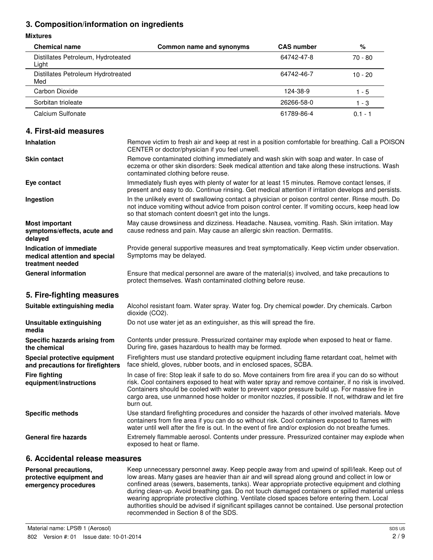### **3. Composition/information on ingredients**

#### **Mixtures**

| <b>Chemical name</b>                        | Common name and synonyms | <b>CAS number</b> | %         |
|---------------------------------------------|--------------------------|-------------------|-----------|
| Distillates Petroleum, Hydroteated<br>Light |                          | 64742-47-8        | $70 - 80$ |
| Distillates Petroleum Hydrotreated<br>Med   |                          | 64742-46-7        | $10 - 20$ |
| Carbon Dioxide                              |                          | 124-38-9          | $1 - 5$   |
| Sorbitan trioleate                          |                          | 26266-58-0        | 1 - 3     |
| Calcium Sulfonate                           |                          | 61789-86-4        | $0.1 - 1$ |

#### **4. First-aid measures**

| <b>Inhalation</b>                                                            | Remove victim to fresh air and keep at rest in a position comfortable for breathing. Call a POISON<br>CENTER or doctor/physician if you feel unwell.                                                                                                         |
|------------------------------------------------------------------------------|--------------------------------------------------------------------------------------------------------------------------------------------------------------------------------------------------------------------------------------------------------------|
| <b>Skin contact</b>                                                          | Remove contaminated clothing immediately and wash skin with soap and water. In case of<br>eczema or other skin disorders: Seek medical attention and take along these instructions. Wash<br>contaminated clothing before reuse.                              |
| Eye contact                                                                  | Immediately flush eyes with plenty of water for at least 15 minutes. Remove contact lenses, if<br>present and easy to do. Continue rinsing. Get medical attention if irritation develops and persists.                                                       |
| Ingestion                                                                    | In the unlikely event of swallowing contact a physician or poison control center. Rinse mouth. Do<br>not induce vomiting without advice from poison control center. If vomiting occurs, keep head low<br>so that stomach content doesn't get into the lungs. |
| <b>Most important</b><br>symptoms/effects, acute and<br>delayed              | May cause drowsiness and dizziness. Headache. Nausea, vomiting. Rash. Skin irritation. May<br>cause redness and pain. May cause an allergic skin reaction. Dermatitis.                                                                                       |
| Indication of immediate<br>medical attention and special<br>treatment needed | Provide general supportive measures and treat symptomatically. Keep victim under observation.<br>Symptoms may be delayed.                                                                                                                                    |
| <b>General information</b>                                                   | Ensure that medical personnel are aware of the material(s) involved, and take precautions to<br>protect themselves. Wash contaminated clothing before reuse.                                                                                                 |
| 5. Fire-fighting measures                                                    |                                                                                                                                                                                                                                                              |
| Suitable extinguishing media                                                 | Alcohol resistant foam. Water spray. Water fog. Dry chemical powder. Dry chemicals. Carbon<br>dioxide (CO2).                                                                                                                                                 |
| Unsuitable extinguishing<br>media                                            | Do not use water jet as an extinguisher, as this will spread the fire.                                                                                                                                                                                       |
| Specific hazards arising from<br>the chemical                                | Contents under pressure. Pressurized container may explode when exposed to heat or flame.<br>During fire, gases hazardous to health may be formed.                                                                                                           |
| Special protective equipment<br>and precautions for firefighters             | Firefighters must use standard protective equipment including flame retardant coat, helmet with<br>face shield, gloves, rubber boots, and in enclosed spaces, SCBA.                                                                                          |
| <b>Fire fighting</b><br>equipment/instructions                               | In case of fire: Stop leak if safe to do so. Move containers from fire area if you can do so without<br>risk. Cool containers exposed to heat with water spray and remove container, if no risk is involved.                                                 |

Containers should be cooled with water to prevent vapor pressure build up. For massive fire in cargo area, use unmanned hose holder or monitor nozzles, if possible. If not, withdraw and let fire burn out. **Specific methods** Use standard firefighting procedures and consider the hazards of other involved materials. Move containers from fire area if you can do so without risk. Cool containers exposed to flames with water until well after the fire is out. In the event of fire and/or explosion do not breathe fumes. **General fire hazards** Extremely flammable aerosol. Contents under pressure. Pressurized container may explode when exposed to heat or flame.

#### **6. Accidental release measures**

| Personal precautions,<br>protective equipment and<br>emergency procedures | Keep unnecessary personnel away. Keep people away from and upwind of spill/leak. Keep out of<br>low areas. Many gases are heavier than air and will spread along ground and collect in low or<br>confined areas (sewers, basements, tanks). Wear appropriate protective equipment and clothing<br>during clean-up. Avoid breathing gas. Do not touch damaged containers or spilled material unless<br>wearing appropriate protective clothing. Ventilate closed spaces before entering them. Local<br>authorities should be advised if significant spillages cannot be contained. Use personal protection<br>recommended in Section 8 of the SDS. |
|---------------------------------------------------------------------------|---------------------------------------------------------------------------------------------------------------------------------------------------------------------------------------------------------------------------------------------------------------------------------------------------------------------------------------------------------------------------------------------------------------------------------------------------------------------------------------------------------------------------------------------------------------------------------------------------------------------------------------------------|
|                                                                           |                                                                                                                                                                                                                                                                                                                                                                                                                                                                                                                                                                                                                                                   |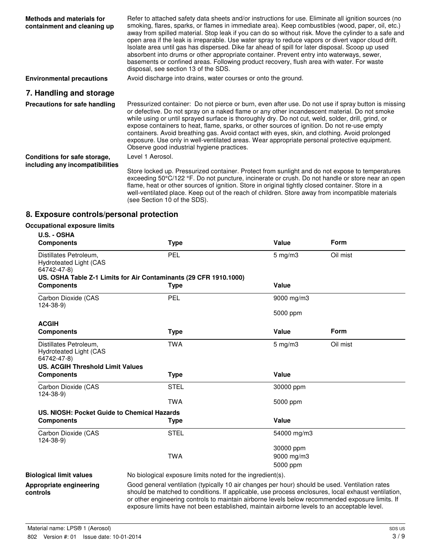| <b>Methods and materials for</b><br>containment and cleaning up | Refer to attached safety data sheets and/or instructions for use. Eliminate all ignition sources (no<br>smoking, flares, sparks, or flames in immediate area). Keep combustibles (wood, paper, oil, etc.)<br>away from spilled material. Stop leak if you can do so without risk. Move the cylinder to a safe and<br>open area if the leak is irreparable. Use water spray to reduce vapors or divert vapor cloud drift.<br>Isolate area until gas has dispersed. Dike far ahead of spill for later disposal. Scoop up used<br>absorbent into drums or other appropriate container. Prevent entry into waterways, sewer,<br>basements or confined areas. Following product recovery, flush area with water. For waste<br>disposal, see section 13 of the SDS. |
|-----------------------------------------------------------------|---------------------------------------------------------------------------------------------------------------------------------------------------------------------------------------------------------------------------------------------------------------------------------------------------------------------------------------------------------------------------------------------------------------------------------------------------------------------------------------------------------------------------------------------------------------------------------------------------------------------------------------------------------------------------------------------------------------------------------------------------------------|
| <b>Environmental precautions</b>                                | Avoid discharge into drains, water courses or onto the ground.                                                                                                                                                                                                                                                                                                                                                                                                                                                                                                                                                                                                                                                                                                |
| 7. Handling and storage                                         |                                                                                                                                                                                                                                                                                                                                                                                                                                                                                                                                                                                                                                                                                                                                                               |
| Precautions for safe handling                                   | Pressurized container: Do not pierce or burn, even after use. Do not use if spray button is missing<br>or defective. Do not spray on a naked flame or any other incandescent material. Do not smoke<br>while using or until sprayed surface is thoroughly dry. Do not cut, weld, solder, drill, grind, or<br>expose containers to heat, flame, sparks, or other sources of ignition. Do not re-use empty<br>containers. Avoid breathing gas. Avoid contact with eyes, skin, and clothing. Avoid prolonged<br>exposure. Use only in well-ventilated areas. Wear appropriate personal protective equipment.<br>Observe good industrial hygiene practices.                                                                                                       |
| Conditions for safe storage,<br>including any incompatibilities | Level 1 Aerosol.                                                                                                                                                                                                                                                                                                                                                                                                                                                                                                                                                                                                                                                                                                                                              |
|                                                                 | Store locked up. Pressurized container. Protect from sunlight and do not expose to temperatures<br>exceeding 50°C/122 °F. Do not puncture, incinerate or crush. Do not handle or store near an open<br>flame, heat or other sources of ignition. Store in original tightly closed container. Store in a<br>well-ventilated place. Keep out of the reach of children. Store away from incompatible materials<br>(see Section 10 of the SDS).                                                                                                                                                                                                                                                                                                                   |

## **8. Exposure controls/personal protection**

# **Occupational exposure limits**

| U.S. - OSHA                                                                                                |                                                                                                                                                                                                                                                                                                                                                                                                        |              |             |
|------------------------------------------------------------------------------------------------------------|--------------------------------------------------------------------------------------------------------------------------------------------------------------------------------------------------------------------------------------------------------------------------------------------------------------------------------------------------------------------------------------------------------|--------------|-------------|
| <b>Components</b>                                                                                          | <b>Type</b>                                                                                                                                                                                                                                                                                                                                                                                            | Value        | <b>Form</b> |
| Distillates Petroleum,<br>Hydroteated Light (CAS<br>64742-47-8)                                            | PEL                                                                                                                                                                                                                                                                                                                                                                                                    | $5$ mg/m $3$ | Oil mist    |
|                                                                                                            | US. OSHA Table Z-1 Limits for Air Contaminants (29 CFR 1910.1000)                                                                                                                                                                                                                                                                                                                                      |              |             |
| <b>Components</b>                                                                                          | <b>Type</b>                                                                                                                                                                                                                                                                                                                                                                                            | Value        |             |
| Carbon Dioxide (CAS<br>$124 - 38 - 9$                                                                      | <b>PEL</b>                                                                                                                                                                                                                                                                                                                                                                                             | 9000 mg/m3   |             |
|                                                                                                            |                                                                                                                                                                                                                                                                                                                                                                                                        | 5000 ppm     |             |
| <b>ACGIH</b>                                                                                               |                                                                                                                                                                                                                                                                                                                                                                                                        |              |             |
| <b>Components</b>                                                                                          | <b>Type</b>                                                                                                                                                                                                                                                                                                                                                                                            | Value        | Form        |
| Distillates Petroleum,<br>Hydroteated Light (CAS<br>64742-47-8)<br><b>US. ACGIH Threshold Limit Values</b> | <b>TWA</b>                                                                                                                                                                                                                                                                                                                                                                                             | $5$ mg/m $3$ | Oil mist    |
| <b>Components</b>                                                                                          | <b>Type</b>                                                                                                                                                                                                                                                                                                                                                                                            | Value        |             |
| Carbon Dioxide (CAS<br>$124 - 38 - 9$                                                                      | <b>STEL</b>                                                                                                                                                                                                                                                                                                                                                                                            | 30000 ppm    |             |
|                                                                                                            | <b>TWA</b>                                                                                                                                                                                                                                                                                                                                                                                             | 5000 ppm     |             |
| US. NIOSH: Pocket Guide to Chemical Hazards                                                                |                                                                                                                                                                                                                                                                                                                                                                                                        |              |             |
| <b>Components</b>                                                                                          | <b>Type</b>                                                                                                                                                                                                                                                                                                                                                                                            | Value        |             |
| Carbon Dioxide (CAS<br>$124 - 38 - 9$                                                                      | <b>STEL</b>                                                                                                                                                                                                                                                                                                                                                                                            | 54000 mg/m3  |             |
|                                                                                                            |                                                                                                                                                                                                                                                                                                                                                                                                        | 30000 ppm    |             |
|                                                                                                            | <b>TWA</b>                                                                                                                                                                                                                                                                                                                                                                                             | 9000 mg/m3   |             |
|                                                                                                            |                                                                                                                                                                                                                                                                                                                                                                                                        | 5000 ppm     |             |
| <b>Biological limit values</b>                                                                             | No biological exposure limits noted for the ingredient(s).                                                                                                                                                                                                                                                                                                                                             |              |             |
| Appropriate engineering<br>controls                                                                        | Good general ventilation (typically 10 air changes per hour) should be used. Ventilation rates<br>should be matched to conditions. If applicable, use process enclosures, local exhaust ventilation,<br>or other engineering controls to maintain airborne levels below recommended exposure limits. If<br>exposure limits have not been established, maintain airborne levels to an acceptable level. |              |             |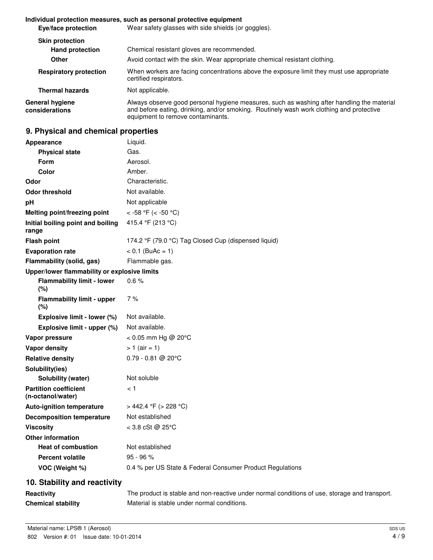#### **Individual protection measures, such as personal protective equipment**

| Eye/face protection               | Wear safety glasses with side shields (or goggles).                                                                                                                                                                         |
|-----------------------------------|-----------------------------------------------------------------------------------------------------------------------------------------------------------------------------------------------------------------------------|
| <b>Skin protection</b>            |                                                                                                                                                                                                                             |
| <b>Hand protection</b>            | Chemical resistant gloves are recommended.                                                                                                                                                                                  |
| Other                             | Avoid contact with the skin. Wear appropriate chemical resistant clothing.                                                                                                                                                  |
| <b>Respiratory protection</b>     | When workers are facing concentrations above the exposure limit they must use appropriate<br>certified respirators.                                                                                                         |
| <b>Thermal hazards</b>            | Not applicable.                                                                                                                                                                                                             |
| General hygiene<br>considerations | Always observe good personal hygiene measures, such as washing after handling the material<br>and before eating, drinking, and/or smoking. Routinely wash work clothing and protective<br>equipment to remove contaminants. |

## **9. Physical and chemical properties**

| <b>Appearance</b>                                 | Liquid.                                                   |
|---------------------------------------------------|-----------------------------------------------------------|
| <b>Physical state</b>                             | Gas.                                                      |
| <b>Form</b>                                       | Aerosol.                                                  |
| Color                                             | Amber.                                                    |
| Odor                                              | Characteristic.                                           |
| <b>Odor threshold</b>                             | Not available.                                            |
| pH                                                | Not applicable                                            |
| Melting point/freezing point                      | < -58 °F (< -50 °C)                                       |
| Initial boiling point and boiling<br>range        | 415.4 °F (213 °C)                                         |
| <b>Flash point</b>                                | 174.2 °F (79.0 °C) Tag Closed Cup (dispensed liquid)      |
| <b>Evaporation rate</b>                           | $< 0.1$ (BuAc = 1)                                        |
| Flammability (solid, gas)                         | Flammable gas.                                            |
| Upper/lower flammability or explosive limits      |                                                           |
| <b>Flammability limit - lower</b><br>(%)          | 0.6%                                                      |
| <b>Flammability limit - upper</b><br>(%)          | 7%                                                        |
| Explosive limit - lower (%)                       | Not available.                                            |
| Explosive limit - upper (%)                       | Not available.                                            |
| Vapor pressure                                    | < 0.05 mm Hg @ 20°C                                       |
| <b>Vapor density</b>                              | $> 1$ (air = 1)                                           |
| <b>Relative density</b>                           | $0.79 - 0.81$ @ 20°C                                      |
| Solubility(ies)                                   |                                                           |
| Solubility (water)                                | Not soluble                                               |
| <b>Partition coefficient</b><br>(n-octanol/water) | < 1                                                       |
| <b>Auto-ignition temperature</b>                  | > 442.4 °F (> 228 °C)                                     |
| <b>Decomposition temperature</b>                  | Not established                                           |
| <b>Viscosity</b>                                  | $<$ 3.8 cSt @ 25°C                                        |
| <b>Other information</b>                          |                                                           |
| <b>Heat of combustion</b>                         | Not established                                           |
| <b>Percent volatile</b>                           | $95 - 96 %$                                               |
| VOC (Weight %)                                    | 0.4 % per US State & Federal Consumer Product Regulations |
| 10. Stability and reactivity                      |                                                           |

| Reactivity |
|------------|
|------------|

The product is stable and non-reactive under normal conditions of use, storage and transport. **Chemical stability** Material is stable under normal conditions.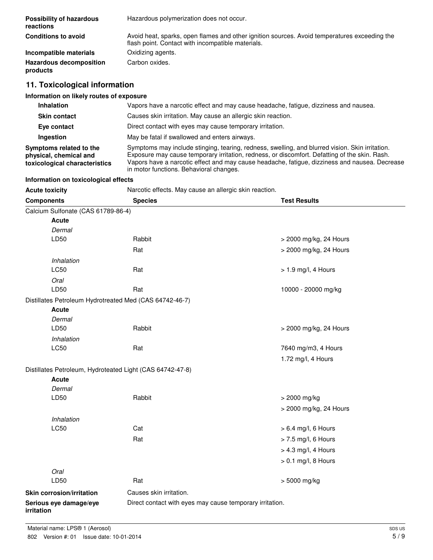| <b>Possibility of hazardous</b><br>reactions | Hazardous polymerization does not occur.                                                                                                          |
|----------------------------------------------|---------------------------------------------------------------------------------------------------------------------------------------------------|
| <b>Conditions to avoid</b>                   | Avoid heat, sparks, open flames and other ignition sources. Avoid temperatures exceeding the<br>flash point. Contact with incompatible materials. |
| Incompatible materials                       | Oxidizing agents.                                                                                                                                 |
| <b>Hazardous decomposition</b><br>products   | Carbon oxides.                                                                                                                                    |

## **11. Toxicological information**

## **Information on likely routes of exposure**

| <b>Inhalation</b>                                                                  | Vapors have a narcotic effect and may cause headache, fatigue, dizziness and nausea.                                                                                                                                                                                                                                                         |  |
|------------------------------------------------------------------------------------|----------------------------------------------------------------------------------------------------------------------------------------------------------------------------------------------------------------------------------------------------------------------------------------------------------------------------------------------|--|
| <b>Skin contact</b>                                                                | Causes skin irritation. May cause an allergic skin reaction.                                                                                                                                                                                                                                                                                 |  |
| Eye contact                                                                        | Direct contact with eyes may cause temporary irritation.                                                                                                                                                                                                                                                                                     |  |
| Ingestion                                                                          | May be fatal if swallowed and enters airways.                                                                                                                                                                                                                                                                                                |  |
| Symptoms related to the<br>physical, chemical and<br>toxicological characteristics | Symptoms may include stinging, tearing, redness, swelling, and blurred vision. Skin irritation.<br>Exposure may cause temporary irritation, redness, or discomfort. Defatting of the skin. Rash.<br>Vapors have a narcotic effect and may cause headache, fatique, dizziness and nausea. Decrease<br>in motor functions. Behavioral changes. |  |

#### **Information on toxicological effects**

| <b>Acute toxicity</b>                                     | Narcotic effects. May cause an allergic skin reaction.   |                        |
|-----------------------------------------------------------|----------------------------------------------------------|------------------------|
| <b>Components</b>                                         | <b>Species</b>                                           | <b>Test Results</b>    |
| Calcium Sulfonate (CAS 61789-86-4)                        |                                                          |                        |
| <b>Acute</b>                                              |                                                          |                        |
| Dermal                                                    |                                                          |                        |
| LD50                                                      | Rabbit                                                   | > 2000 mg/kg, 24 Hours |
|                                                           | Rat                                                      | > 2000 mg/kg, 24 Hours |
| Inhalation                                                |                                                          |                        |
| <b>LC50</b>                                               | Rat                                                      | > 1.9 mg/l, 4 Hours    |
| Oral                                                      |                                                          |                        |
| LD50                                                      | Rat                                                      | 10000 - 20000 mg/kg    |
| Distillates Petroleum Hydrotreated Med (CAS 64742-46-7)   |                                                          |                        |
| <b>Acute</b>                                              |                                                          |                        |
| Dermal                                                    |                                                          |                        |
| LD50                                                      | Rabbit                                                   | > 2000 mg/kg, 24 Hours |
| Inhalation                                                |                                                          |                        |
| LC50                                                      | Rat                                                      | 7640 mg/m3, 4 Hours    |
|                                                           |                                                          | 1.72 mg/l, 4 Hours     |
| Distillates Petroleum, Hydroteated Light (CAS 64742-47-8) |                                                          |                        |
| Acute                                                     |                                                          |                        |
| Dermal                                                    |                                                          |                        |
| LD50                                                      | Rabbit                                                   | > 2000 mg/kg           |
|                                                           |                                                          | > 2000 mg/kg, 24 Hours |
| Inhalation                                                |                                                          |                        |
| <b>LC50</b>                                               | Cat                                                      | $> 6.4$ mg/l, 6 Hours  |
|                                                           | Rat                                                      | > 7.5 mg/l, 6 Hours    |
|                                                           |                                                          | > 4.3 mg/l, 4 Hours    |
|                                                           |                                                          | $> 0.1$ mg/l, 8 Hours  |
| Oral                                                      |                                                          |                        |
| LD50                                                      | Rat                                                      | > 5000 mg/kg           |
| Skin corrosion/irritation                                 | Causes skin irritation.                                  |                        |
| Serious eye damage/eye<br>irritation                      | Direct contact with eyes may cause temporary irritation. |                        |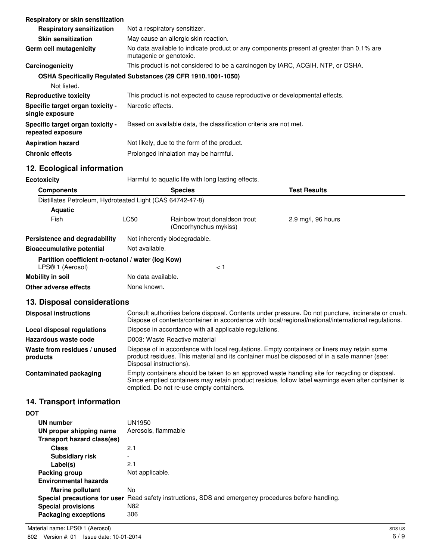| Respiratory or skin sensitization                     |                                                                                                                     |
|-------------------------------------------------------|---------------------------------------------------------------------------------------------------------------------|
| <b>Respiratory sensitization</b>                      | Not a respiratory sensitizer.                                                                                       |
| <b>Skin sensitization</b>                             | May cause an allergic skin reaction.                                                                                |
| Germ cell mutagenicity                                | No data available to indicate product or any components present at greater than 0.1% are<br>mutagenic or genotoxic. |
| Carcinogenicity                                       | This product is not considered to be a carcinogen by IARC, ACGIH, NTP, or OSHA.                                     |
|                                                       | OSHA Specifically Regulated Substances (29 CFR 1910.1001-1050)                                                      |
| Not listed.                                           |                                                                                                                     |
| <b>Reproductive toxicity</b>                          | This product is not expected to cause reproductive or developmental effects.                                        |
| Specific target organ toxicity -<br>single exposure   | Narcotic effects.                                                                                                   |
| Specific target organ toxicity -<br>repeated exposure | Based on available data, the classification criteria are not met.                                                   |
| <b>Aspiration hazard</b>                              | Not likely, due to the form of the product.                                                                         |
| <b>Chronic effects</b>                                | Prolonged inhalation may be harmful.                                                                                |

# **12. Ecological information**

| <b>Ecotoxicity</b>                                                    |                    | Harmful to aquatic life with long lasting effects.      |                               |  |
|-----------------------------------------------------------------------|--------------------|---------------------------------------------------------|-------------------------------|--|
| <b>Components</b>                                                     |                    | <b>Species</b>                                          | <b>Test Results</b>           |  |
| Distillates Petroleum, Hydroteated Light (CAS 64742-47-8)             |                    |                                                         |                               |  |
| <b>Aquatic</b>                                                        |                    |                                                         |                               |  |
| Fish                                                                  | <b>LC50</b>        | Rainbow trout, donaldson trout<br>(Oncorhynchus mykiss) | $2.9 \text{ mg/l}$ , 96 hours |  |
| Persistence and degradability                                         |                    | Not inherently biodegradable.                           |                               |  |
| <b>Bioaccumulative potential</b>                                      | Not available.     |                                                         |                               |  |
| Partition coefficient n-octanol / water (log Kow)<br>LPS® 1 (Aerosol) |                    | < 1                                                     |                               |  |
| Mobility in soil                                                      | No data available. |                                                         |                               |  |
| Other adverse effects                                                 | None known.        |                                                         |                               |  |

# **13. Disposal considerations**

| <b>Disposal instructions</b>             | Consult authorities before disposal. Contents under pressure. Do not puncture, incinerate or crush.<br>Dispose of contents/container in accordance with local/regional/national/international regulations.                                       |
|------------------------------------------|--------------------------------------------------------------------------------------------------------------------------------------------------------------------------------------------------------------------------------------------------|
| Local disposal regulations               | Dispose in accordance with all applicable regulations.                                                                                                                                                                                           |
| Hazardous waste code                     | D003: Waste Reactive material                                                                                                                                                                                                                    |
| Waste from residues / unused<br>products | Dispose of in accordance with local regulations. Empty containers or liners may retain some<br>product residues. This material and its container must be disposed of in a safe manner (see:<br>Disposal instructions).                           |
| <b>Contaminated packaging</b>            | Empty containers should be taken to an approved waste handling site for recycling or disposal.<br>Since emptied containers may retain product residue, follow label warnings even after container is<br>emptied. Do not re-use empty containers. |

# **14. Transport information**

| <b>DOT</b>                   |                                                                                                      |
|------------------------------|------------------------------------------------------------------------------------------------------|
| UN number                    | UN1950                                                                                               |
| UN proper shipping name      | Aerosols, flammable                                                                                  |
| Transport hazard class(es)   |                                                                                                      |
| <b>Class</b>                 | 2.1                                                                                                  |
| <b>Subsidiary risk</b>       |                                                                                                      |
| Label(s)                     | 2.1                                                                                                  |
| Packing group                | Not applicable.                                                                                      |
| <b>Environmental hazards</b> |                                                                                                      |
| <b>Marine pollutant</b>      | No                                                                                                   |
|                              | Special precautions for user Read safety instructions, SDS and emergency procedures before handling. |
| <b>Special provisions</b>    | N <sub>82</sub>                                                                                      |
| Packaging exceptions         | 306                                                                                                  |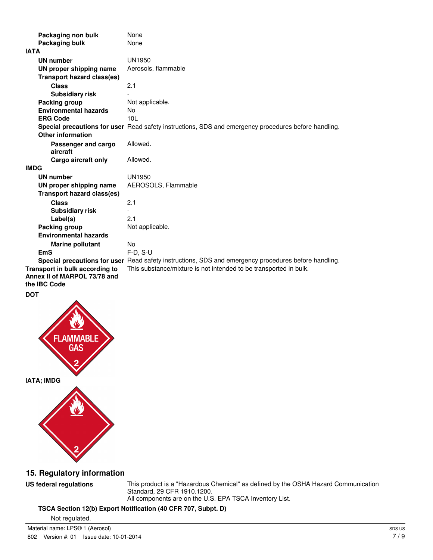| Packaging non bulk                                                             | None                                                                                                 |
|--------------------------------------------------------------------------------|------------------------------------------------------------------------------------------------------|
| Packaging bulk                                                                 | None                                                                                                 |
| <b>IATA</b>                                                                    |                                                                                                      |
| <b>UN number</b>                                                               | <b>UN1950</b>                                                                                        |
| UN proper shipping name                                                        | Aerosols, flammable                                                                                  |
| <b>Transport hazard class(es)</b>                                              |                                                                                                      |
| Class                                                                          | 2.1                                                                                                  |
| <b>Subsidiary risk</b>                                                         |                                                                                                      |
| Packing group                                                                  | Not applicable.                                                                                      |
| <b>Environmental hazards</b>                                                   | No                                                                                                   |
| <b>ERG Code</b>                                                                | 10L                                                                                                  |
|                                                                                | Special precautions for user Read safety instructions, SDS and emergency procedures before handling. |
| <b>Other information</b>                                                       |                                                                                                      |
| Passenger and cargo<br>aircraft                                                | Allowed.                                                                                             |
| Cargo aircraft only                                                            | Allowed.                                                                                             |
| <b>IMDG</b>                                                                    |                                                                                                      |
| UN number                                                                      | <b>UN1950</b>                                                                                        |
| UN proper shipping name                                                        | AEROSOLS, Flammable                                                                                  |
| <b>Transport hazard class(es)</b>                                              |                                                                                                      |
| Class                                                                          | 2.1                                                                                                  |
| <b>Subsidiary risk</b>                                                         |                                                                                                      |
| Label(s)                                                                       | 2.1                                                                                                  |
| Packing group                                                                  | Not applicable.                                                                                      |
| <b>Environmental hazards</b>                                                   |                                                                                                      |
| <b>Marine pollutant</b>                                                        | No.                                                                                                  |
| <b>EmS</b>                                                                     | $F-D, S-U$                                                                                           |
|                                                                                | Special precautions for user Read safety instructions, SDS and emergency procedures before handling. |
| Transport in bulk according to<br>Annex II of MARPOL 73/78 and<br>the IBC Code | This substance/mixture is not intended to be transported in bulk.                                    |
| <b>DOT</b>                                                                     |                                                                                                      |







## **15. Regulatory information**

**US federal regulations** This product is a "Hazardous Chemical" as defined by the OSHA Hazard Communication Standard, 29 CFR 1910.1200. All components are on the U.S. EPA TSCA Inventory List.

### **TSCA Section 12(b) Export Notification (40 CFR 707, Subpt. D)**

Not regulated.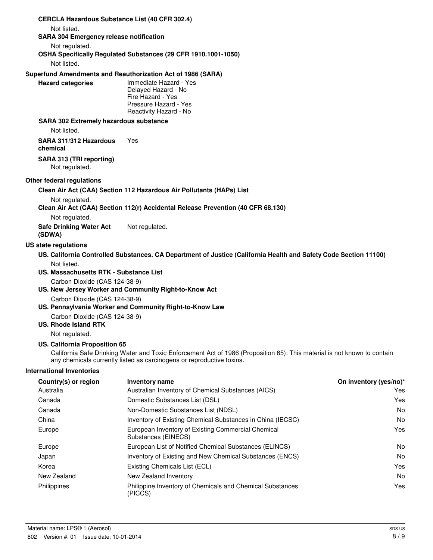| <b>CERCLA Hazardous Substance List (40 CFR 302.4)</b>        |                                                                                                                                                                                                   |                        |
|--------------------------------------------------------------|---------------------------------------------------------------------------------------------------------------------------------------------------------------------------------------------------|------------------------|
| Not listed.                                                  |                                                                                                                                                                                                   |                        |
| <b>SARA 304 Emergency release notification</b>               |                                                                                                                                                                                                   |                        |
| Not regulated.                                               | OSHA Specifically Regulated Substances (29 CFR 1910.1001-1050)                                                                                                                                    |                        |
| Not listed.                                                  |                                                                                                                                                                                                   |                        |
|                                                              | Superfund Amendments and Reauthorization Act of 1986 (SARA)                                                                                                                                       |                        |
| <b>Hazard categories</b>                                     | Immediate Hazard - Yes<br>Delayed Hazard - No<br>Fire Hazard - Yes<br>Pressure Hazard - Yes<br>Reactivity Hazard - No                                                                             |                        |
| <b>SARA 302 Extremely hazardous substance</b><br>Not listed. |                                                                                                                                                                                                   |                        |
| SARA 311/312 Hazardous<br>chemical                           | Yes                                                                                                                                                                                               |                        |
| SARA 313 (TRI reporting)<br>Not regulated.                   |                                                                                                                                                                                                   |                        |
| Other federal regulations                                    |                                                                                                                                                                                                   |                        |
|                                                              | Clean Air Act (CAA) Section 112 Hazardous Air Pollutants (HAPs) List                                                                                                                              |                        |
| Not regulated.                                               | Clean Air Act (CAA) Section 112(r) Accidental Release Prevention (40 CFR 68.130)                                                                                                                  |                        |
| Not regulated.                                               |                                                                                                                                                                                                   |                        |
| <b>Safe Drinking Water Act</b><br>(SDWA)                     | Not regulated.                                                                                                                                                                                    |                        |
| US state regulations                                         |                                                                                                                                                                                                   |                        |
|                                                              | US. California Controlled Substances. CA Department of Justice (California Health and Safety Code Section 11100)                                                                                  |                        |
| Not listed.<br>US. Massachusetts RTK - Substance List        |                                                                                                                                                                                                   |                        |
| Carbon Dioxide (CAS 124-38-9)                                |                                                                                                                                                                                                   |                        |
| Carbon Dioxide (CAS 124-38-9)                                | US. New Jersey Worker and Community Right-to-Know Act<br>US. Pennsylvania Worker and Community Right-to-Know Law                                                                                  |                        |
| Carbon Dioxide (CAS 124-38-9)<br><b>US. Rhode Island RTK</b> |                                                                                                                                                                                                   |                        |
| Not regulated.                                               |                                                                                                                                                                                                   |                        |
| US. California Proposition 65                                | California Safe Drinking Water and Toxic Enforcement Act of 1986 (Proposition 65): This material is not known to contain<br>any chemicals currently listed as carcinogens or reproductive toxins. |                        |
| <b>International Inventories</b>                             |                                                                                                                                                                                                   |                        |
| Country(s) or region                                         | Inventory name                                                                                                                                                                                    | On inventory (yes/no)* |
| Australia                                                    | Australian Inventory of Chemical Substances (AICS)                                                                                                                                                | Yes                    |
| Canada                                                       | Domestic Substances List (DSL)                                                                                                                                                                    | Yes                    |
| Canada                                                       | Non-Domestic Substances List (NDSL)                                                                                                                                                               | No                     |
| China                                                        | Inventory of Existing Chemical Substances in China (IECSC)                                                                                                                                        | No                     |
| Europe                                                       | European Inventory of Existing Commercial Chemical<br>Substances (EINECS)                                                                                                                         | Yes                    |
| Europe                                                       | European List of Notified Chemical Substances (ELINCS)                                                                                                                                            | No                     |
| Japan                                                        | Inventory of Existing and New Chemical Substances (ENCS)                                                                                                                                          | No                     |
| Korea                                                        | Existing Chemicals List (ECL)                                                                                                                                                                     | Yes                    |
| New Zealand                                                  | New Zealand Inventory                                                                                                                                                                             | No                     |
| Philippines                                                  | Philippine Inventory of Chemicals and Chemical Substances<br>(PICCS)                                                                                                                              | Yes                    |